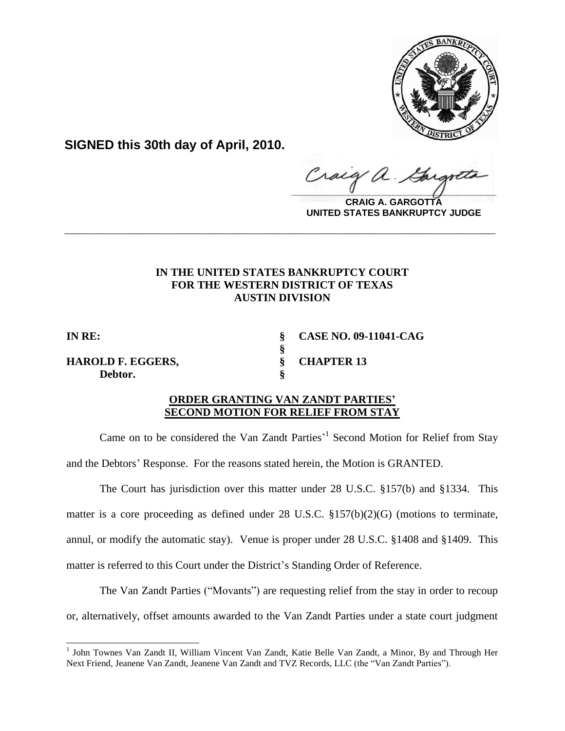

**SIGNED this 30th day of April, 2010.**

Craig  $\frac{1}{2}$ 

**CRAIG A. GARGOTTA UNITED STATES BANKRUPTCY JUDGE**

## **IN THE UNITED STATES BANKRUPTCY COURT FOR THE WESTERN DISTRICT OF TEXAS AUSTIN DIVISION**

**\_\_\_\_\_\_\_\_\_\_\_\_\_\_\_\_\_\_\_\_\_\_\_\_\_\_\_\_\_\_\_\_\_\_\_\_\_\_\_\_\_\_\_\_\_\_\_\_\_\_\_\_\_\_\_\_\_\_\_\_**

l

**HAROLD F. EGGERS, § CHAPTER 13 Debtor. §**

**IN RE: § CASE NO. 09-11041-CAG**

## **ORDER GRANTING VAN ZANDT PARTIES' SECOND MOTION FOR RELIEF FROM STAY**

**§**

Came on to be considered the Van Zandt Parties<sup>,1</sup> Second Motion for Relief from Stay and the Debtors' Response. For the reasons stated herein, the Motion is GRANTED.

The Court has jurisdiction over this matter under 28 U.S.C. §157(b) and §1334. This matter is a core proceeding as defined under 28 U.S.C. §157(b)(2)(G) (motions to terminate, annul, or modify the automatic stay). Venue is proper under 28 U.S.C. §1408 and §1409. This matter is referred to this Court under the District's Standing Order of Reference.

The Van Zandt Parties ("Movants") are requesting relief from the stay in order to recoup or, alternatively, offset amounts awarded to the Van Zandt Parties under a state court judgment

<sup>&</sup>lt;sup>1</sup> John Townes Van Zandt II, William Vincent Van Zandt, Katie Belle Van Zandt, a Minor, By and Through Her Next Friend, Jeanene Van Zandt, Jeanene Van Zandt and TVZ Records, LLC (the "Van Zandt Parties").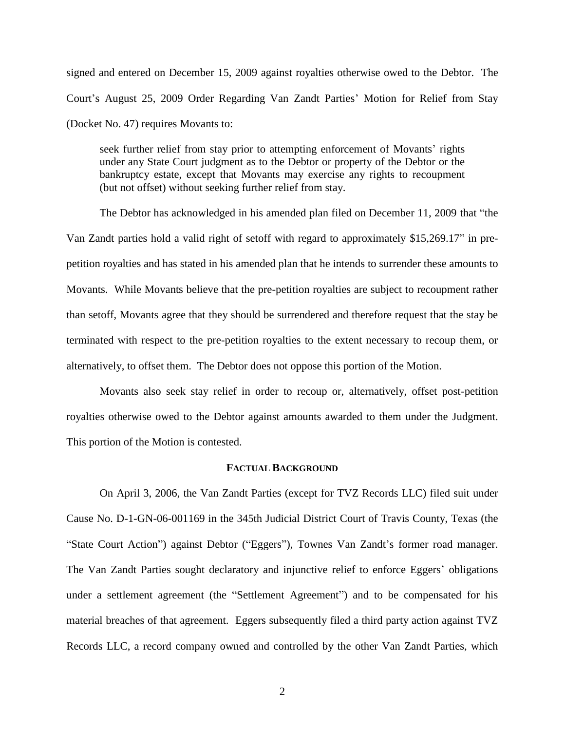signed and entered on December 15, 2009 against royalties otherwise owed to the Debtor. The Court's August 25, 2009 Order Regarding Van Zandt Parties' Motion for Relief from Stay (Docket No. 47) requires Movants to:

seek further relief from stay prior to attempting enforcement of Movants' rights under any State Court judgment as to the Debtor or property of the Debtor or the bankruptcy estate, except that Movants may exercise any rights to recoupment (but not offset) without seeking further relief from stay.

The Debtor has acknowledged in his amended plan filed on December 11, 2009 that "the Van Zandt parties hold a valid right of setoff with regard to approximately \$15,269.17" in prepetition royalties and has stated in his amended plan that he intends to surrender these amounts to Movants. While Movants believe that the pre-petition royalties are subject to recoupment rather than setoff, Movants agree that they should be surrendered and therefore request that the stay be terminated with respect to the pre-petition royalties to the extent necessary to recoup them, or alternatively, to offset them. The Debtor does not oppose this portion of the Motion.

Movants also seek stay relief in order to recoup or, alternatively, offset post-petition royalties otherwise owed to the Debtor against amounts awarded to them under the Judgment. This portion of the Motion is contested.

## **FACTUAL BACKGROUND**

On April 3, 2006, the Van Zandt Parties (except for TVZ Records LLC) filed suit under Cause No. D-1-GN-06-001169 in the 345th Judicial District Court of Travis County, Texas (the "State Court Action") against Debtor ("Eggers"), Townes Van Zandt's former road manager. The Van Zandt Parties sought declaratory and injunctive relief to enforce Eggers' obligations under a settlement agreement (the "Settlement Agreement") and to be compensated for his material breaches of that agreement. Eggers subsequently filed a third party action against TVZ Records LLC, a record company owned and controlled by the other Van Zandt Parties, which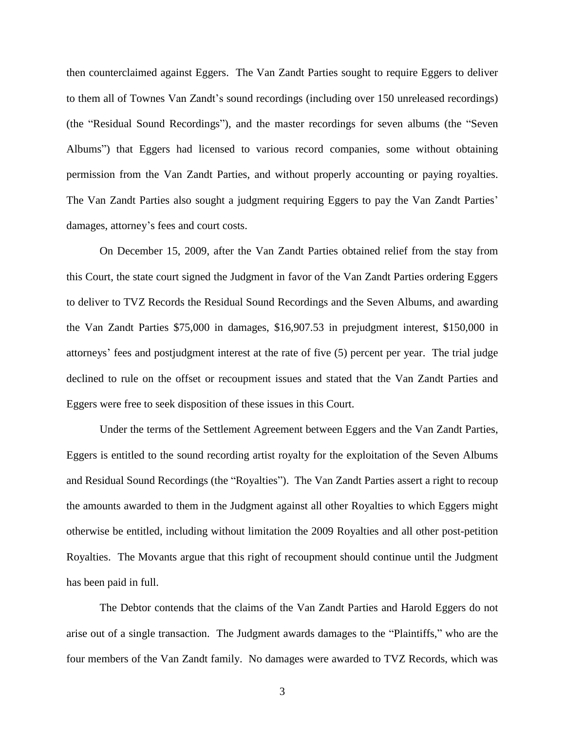then counterclaimed against Eggers. The Van Zandt Parties sought to require Eggers to deliver to them all of Townes Van Zandt's sound recordings (including over 150 unreleased recordings) (the "Residual Sound Recordings"), and the master recordings for seven albums (the "Seven Albums") that Eggers had licensed to various record companies, some without obtaining permission from the Van Zandt Parties, and without properly accounting or paying royalties. The Van Zandt Parties also sought a judgment requiring Eggers to pay the Van Zandt Parties' damages, attorney's fees and court costs.

On December 15, 2009, after the Van Zandt Parties obtained relief from the stay from this Court, the state court signed the Judgment in favor of the Van Zandt Parties ordering Eggers to deliver to TVZ Records the Residual Sound Recordings and the Seven Albums, and awarding the Van Zandt Parties \$75,000 in damages, \$16,907.53 in prejudgment interest, \$150,000 in attorneys' fees and postjudgment interest at the rate of five (5) percent per year. The trial judge declined to rule on the offset or recoupment issues and stated that the Van Zandt Parties and Eggers were free to seek disposition of these issues in this Court.

Under the terms of the Settlement Agreement between Eggers and the Van Zandt Parties, Eggers is entitled to the sound recording artist royalty for the exploitation of the Seven Albums and Residual Sound Recordings (the "Royalties"). The Van Zandt Parties assert a right to recoup the amounts awarded to them in the Judgment against all other Royalties to which Eggers might otherwise be entitled, including without limitation the 2009 Royalties and all other post-petition Royalties. The Movants argue that this right of recoupment should continue until the Judgment has been paid in full.

The Debtor contends that the claims of the Van Zandt Parties and Harold Eggers do not arise out of a single transaction. The Judgment awards damages to the "Plaintiffs," who are the four members of the Van Zandt family. No damages were awarded to TVZ Records, which was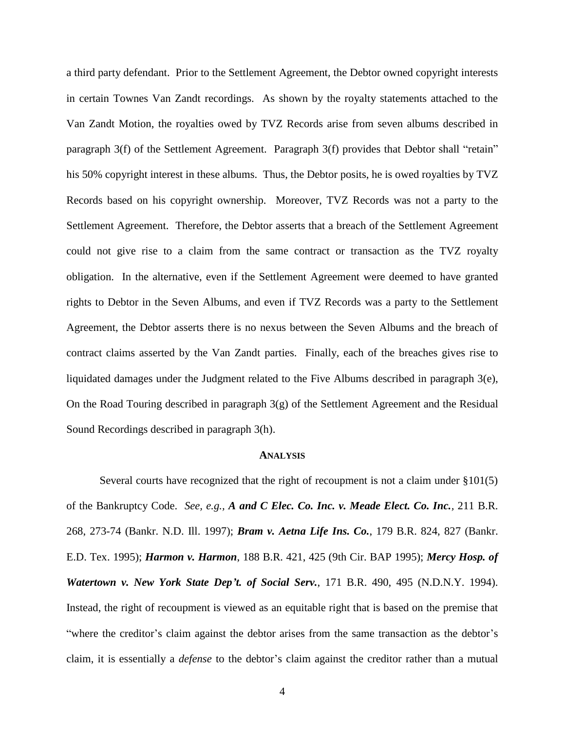a third party defendant. Prior to the Settlement Agreement, the Debtor owned copyright interests in certain Townes Van Zandt recordings. As shown by the royalty statements attached to the Van Zandt Motion, the royalties owed by TVZ Records arise from seven albums described in paragraph 3(f) of the Settlement Agreement. Paragraph 3(f) provides that Debtor shall "retain" his 50% copyright interest in these albums. Thus, the Debtor posits, he is owed royalties by TVZ Records based on his copyright ownership. Moreover, TVZ Records was not a party to the Settlement Agreement. Therefore, the Debtor asserts that a breach of the Settlement Agreement could not give rise to a claim from the same contract or transaction as the TVZ royalty obligation. In the alternative, even if the Settlement Agreement were deemed to have granted rights to Debtor in the Seven Albums, and even if TVZ Records was a party to the Settlement Agreement, the Debtor asserts there is no nexus between the Seven Albums and the breach of contract claims asserted by the Van Zandt parties. Finally, each of the breaches gives rise to liquidated damages under the Judgment related to the Five Albums described in paragraph 3(e), On the Road Touring described in paragraph 3(g) of the Settlement Agreement and the Residual Sound Recordings described in paragraph 3(h).

## **ANALYSIS**

Several courts have recognized that the right of recoupment is not a claim under §101(5) of the Bankruptcy Code. *See, e.g., A and C Elec. Co. Inc. v. Meade Elect. Co. Inc.,* 211 B.R. 268, 273-74 (Bankr. N.D. Ill. 1997); *Bram v. Aetna Life Ins. Co.*, 179 B.R. 824, 827 (Bankr. E.D. Tex. 1995); *Harmon v. Harmon*, 188 B.R. 421, 425 (9th Cir. BAP 1995); *Mercy Hosp. of Watertown v. New York State Dep't. of Social Serv.*, 171 B.R. 490, 495 (N.D.N.Y. 1994). Instead, the right of recoupment is viewed as an equitable right that is based on the premise that "where the creditor's claim against the debtor arises from the same transaction as the debtor's claim, it is essentially a *defense* to the debtor's claim against the creditor rather than a mutual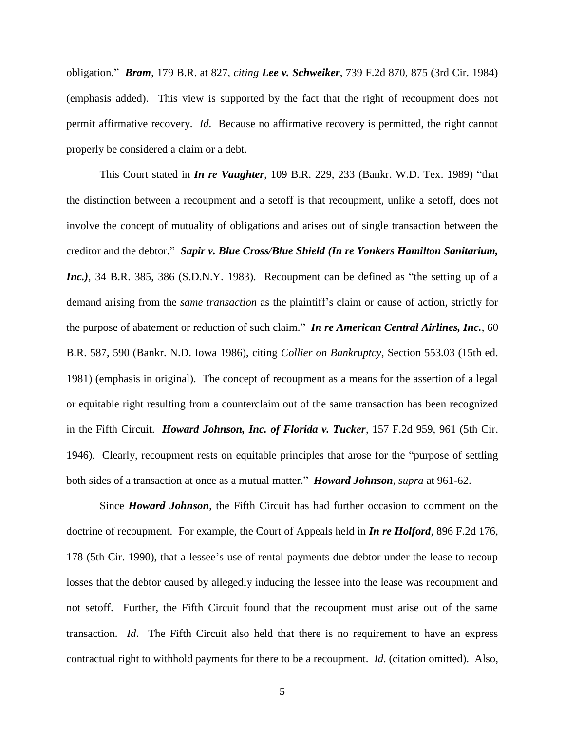obligation." *Bram*, 179 B.R. at 827, *citing Lee v. Schweiker*, 739 F.2d 870, 875 (3rd Cir. 1984) (emphasis added). This view is supported by the fact that the right of recoupment does not permit affirmative recovery. *Id*. Because no affirmative recovery is permitted, the right cannot properly be considered a claim or a debt.

This Court stated in *In re Vaughter*, 109 B.R. 229, 233 (Bankr. W.D. Tex. 1989) "that the distinction between a recoupment and a setoff is that recoupment, unlike a setoff, does not involve the concept of mutuality of obligations and arises out of single transaction between the creditor and the debtor." *Sapir v. Blue Cross/Blue Shield (In re Yonkers Hamilton Sanitarium, Inc.)*, 34 B.R. 385, 386 (S.D.N.Y. 1983). Recoupment can be defined as "the setting up of a demand arising from the *same transaction* as the plaintiff's claim or cause of action, strictly for the purpose of abatement or reduction of such claim." *In re American Central Airlines, Inc.*, 60 B.R. 587, 590 (Bankr. N.D. Iowa 1986), citing *Collier on Bankruptcy*, Section 553.03 (15th ed. 1981) (emphasis in original). The concept of recoupment as a means for the assertion of a legal or equitable right resulting from a counterclaim out of the same transaction has been recognized in the Fifth Circuit. *Howard Johnson, Inc. of Florida v. Tucker*, 157 F.2d 959, 961 (5th Cir. 1946). Clearly, recoupment rests on equitable principles that arose for the "purpose of settling both sides of a transaction at once as a mutual matter." *Howard Johnson*, *supra* at 961-62.

Since *Howard Johnson*, the Fifth Circuit has had further occasion to comment on the doctrine of recoupment. For example, the Court of Appeals held in *In re Holford*, 896 F.2d 176, 178 (5th Cir. 1990), that a lessee's use of rental payments due debtor under the lease to recoup losses that the debtor caused by allegedly inducing the lessee into the lease was recoupment and not setoff. Further, the Fifth Circuit found that the recoupment must arise out of the same transaction. *Id*. The Fifth Circuit also held that there is no requirement to have an express contractual right to withhold payments for there to be a recoupment. *Id*. (citation omitted). Also,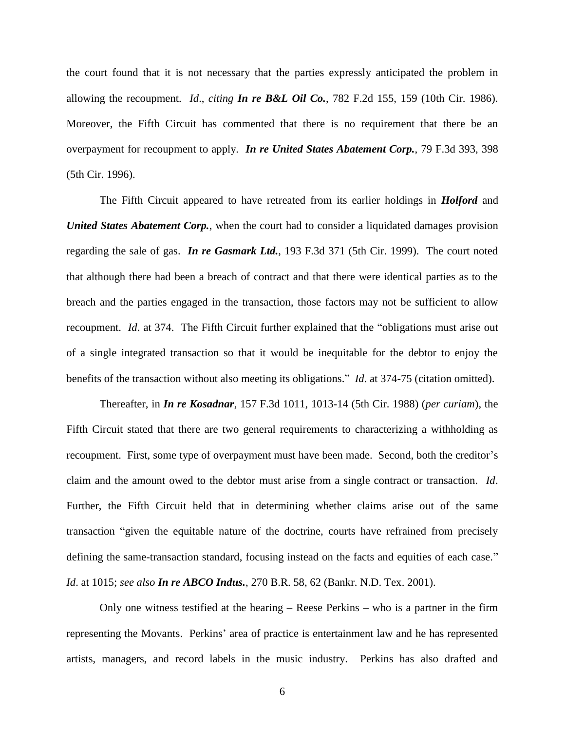the court found that it is not necessary that the parties expressly anticipated the problem in allowing the recoupment. *Id*., *citing In re B&L Oil Co.*, 782 F.2d 155, 159 (10th Cir. 1986). Moreover, the Fifth Circuit has commented that there is no requirement that there be an overpayment for recoupment to apply. *In re United States Abatement Corp.*, 79 F.3d 393, 398 (5th Cir. 1996).

The Fifth Circuit appeared to have retreated from its earlier holdings in *Holford* and *United States Abatement Corp.*, when the court had to consider a liquidated damages provision regarding the sale of gas. *In re Gasmark Ltd.*, 193 F.3d 371 (5th Cir. 1999). The court noted that although there had been a breach of contract and that there were identical parties as to the breach and the parties engaged in the transaction, those factors may not be sufficient to allow recoupment. *Id*. at 374. The Fifth Circuit further explained that the "obligations must arise out of a single integrated transaction so that it would be inequitable for the debtor to enjoy the benefits of the transaction without also meeting its obligations." *Id*. at 374-75 (citation omitted).

Thereafter, in *In re Kosadnar*, 157 F.3d 1011, 1013-14 (5th Cir. 1988) (*per curiam*), the Fifth Circuit stated that there are two general requirements to characterizing a withholding as recoupment. First, some type of overpayment must have been made. Second, both the creditor's claim and the amount owed to the debtor must arise from a single contract or transaction. *Id*. Further, the Fifth Circuit held that in determining whether claims arise out of the same transaction "given the equitable nature of the doctrine, courts have refrained from precisely defining the same-transaction standard, focusing instead on the facts and equities of each case." *Id*. at 1015; *see also In re ABCO Indus.*, 270 B.R. 58, 62 (Bankr. N.D. Tex. 2001).

Only one witness testified at the hearing – Reese Perkins – who is a partner in the firm representing the Movants. Perkins' area of practice is entertainment law and he has represented artists, managers, and record labels in the music industry. Perkins has also drafted and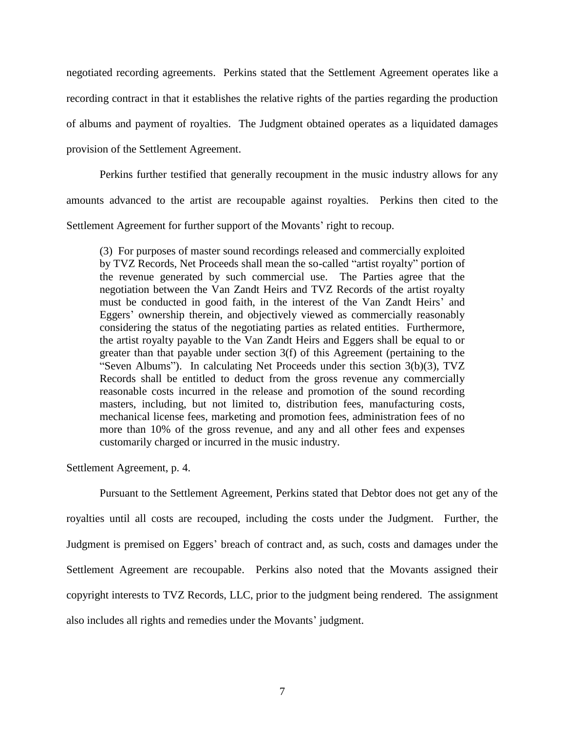negotiated recording agreements. Perkins stated that the Settlement Agreement operates like a recording contract in that it establishes the relative rights of the parties regarding the production of albums and payment of royalties. The Judgment obtained operates as a liquidated damages provision of the Settlement Agreement.

Perkins further testified that generally recoupment in the music industry allows for any amounts advanced to the artist are recoupable against royalties. Perkins then cited to the Settlement Agreement for further support of the Movants' right to recoup.

(3) For purposes of master sound recordings released and commercially exploited by TVZ Records, Net Proceeds shall mean the so-called "artist royalty" portion of the revenue generated by such commercial use. The Parties agree that the negotiation between the Van Zandt Heirs and TVZ Records of the artist royalty must be conducted in good faith, in the interest of the Van Zandt Heirs' and Eggers' ownership therein, and objectively viewed as commercially reasonably considering the status of the negotiating parties as related entities. Furthermore, the artist royalty payable to the Van Zandt Heirs and Eggers shall be equal to or greater than that payable under section 3(f) of this Agreement (pertaining to the "Seven Albums"). In calculating Net Proceeds under this section 3(b)(3), TVZ Records shall be entitled to deduct from the gross revenue any commercially reasonable costs incurred in the release and promotion of the sound recording masters, including, but not limited to, distribution fees, manufacturing costs, mechanical license fees, marketing and promotion fees, administration fees of no more than 10% of the gross revenue, and any and all other fees and expenses customarily charged or incurred in the music industry.

Settlement Agreement, p. 4.

Pursuant to the Settlement Agreement, Perkins stated that Debtor does not get any of the royalties until all costs are recouped, including the costs under the Judgment. Further, the Judgment is premised on Eggers' breach of contract and, as such, costs and damages under the Settlement Agreement are recoupable. Perkins also noted that the Movants assigned their copyright interests to TVZ Records, LLC, prior to the judgment being rendered. The assignment also includes all rights and remedies under the Movants' judgment.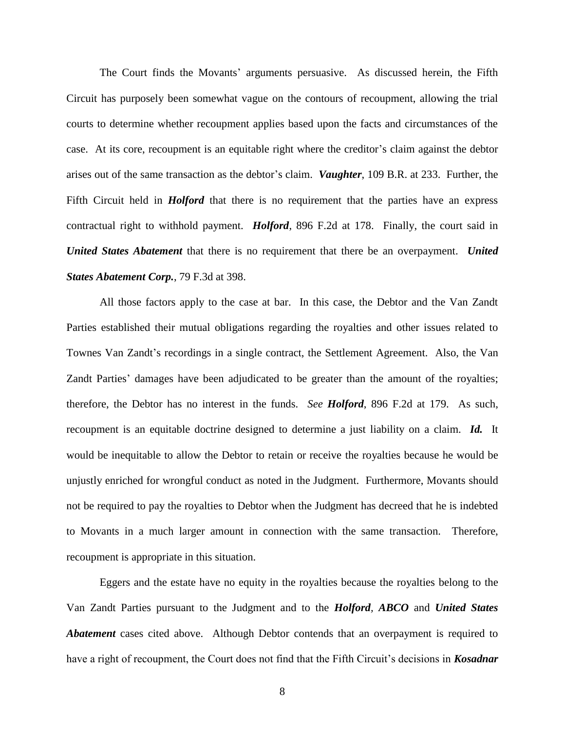The Court finds the Movants' arguments persuasive. As discussed herein, the Fifth Circuit has purposely been somewhat vague on the contours of recoupment, allowing the trial courts to determine whether recoupment applies based upon the facts and circumstances of the case. At its core, recoupment is an equitable right where the creditor's claim against the debtor arises out of the same transaction as the debtor's claim. *Vaughter*, 109 B.R. at 233. Further, the Fifth Circuit held in *Holford* that there is no requirement that the parties have an express contractual right to withhold payment. *Holford*, 896 F.2d at 178. Finally, the court said in *United States Abatement* that there is no requirement that there be an overpayment. *United States Abatement Corp.*, 79 F.3d at 398.

All those factors apply to the case at bar. In this case, the Debtor and the Van Zandt Parties established their mutual obligations regarding the royalties and other issues related to Townes Van Zandt's recordings in a single contract, the Settlement Agreement. Also, the Van Zandt Parties' damages have been adjudicated to be greater than the amount of the royalties; therefore, the Debtor has no interest in the funds. *See Holford*, 896 F.2d at 179. As such, recoupment is an equitable doctrine designed to determine a just liability on a claim. *Id.* It would be inequitable to allow the Debtor to retain or receive the royalties because he would be unjustly enriched for wrongful conduct as noted in the Judgment. Furthermore, Movants should not be required to pay the royalties to Debtor when the Judgment has decreed that he is indebted to Movants in a much larger amount in connection with the same transaction. Therefore, recoupment is appropriate in this situation.

Eggers and the estate have no equity in the royalties because the royalties belong to the Van Zandt Parties pursuant to the Judgment and to the *Holford, ABCO* and *United States Abatement* cases cited above. Although Debtor contends that an overpayment is required to have a right of recoupment, the Court does not find that the Fifth Circuit's decisions in *Kosadnar*